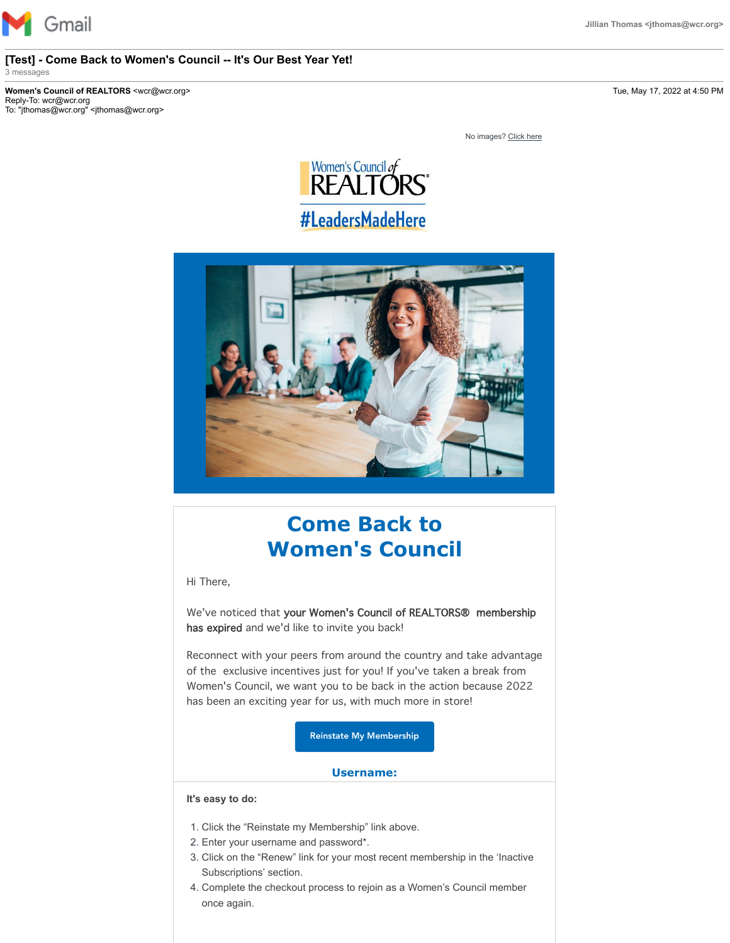

#### **[Test] - Come Back to Women's Council -- It's Our Best Year Yet!** 3 messages

**Women's Council of REALTORS** <wcr@wcr.org> Tue, May 17, 2022 at 4:50 PM Reply-To: wcr@wcr.org To: "jthomas@wcr.org" <jthomas@wcr.org>

No images? [Click here](https://nationalwomenscouncilofrealtors.cmail19.com/t/j-e-vltiijd-l-n/)





# **Come Back to Women's Council**

Hi There,

We've noticed that your Women's Council of REALTORS® membership has expired and we'd like to invite you back!

Reconnect with your peers from around the country and take advantage of the exclusive incentives just for you! If you've taken a break from Women's Council, we want you to be back in the action because 2022 has been an exciting year for us, with much more in store!

[Reinstate My Membership](https://nationalwomenscouncilofrealtors.cmail19.com/t/j-i-vltiijd-l-r/)

#### **Username:**

### **It's easy to do:**

- 1. Click the "Reinstate my Membership" link above.
- 2. Enter your username and password\*.
- 3. Click on the "Renew" link for your most recent membership in the 'Inactive Subscriptions' section.
- 4. Complete the checkout process to rejoin as a Women's Council member once again.